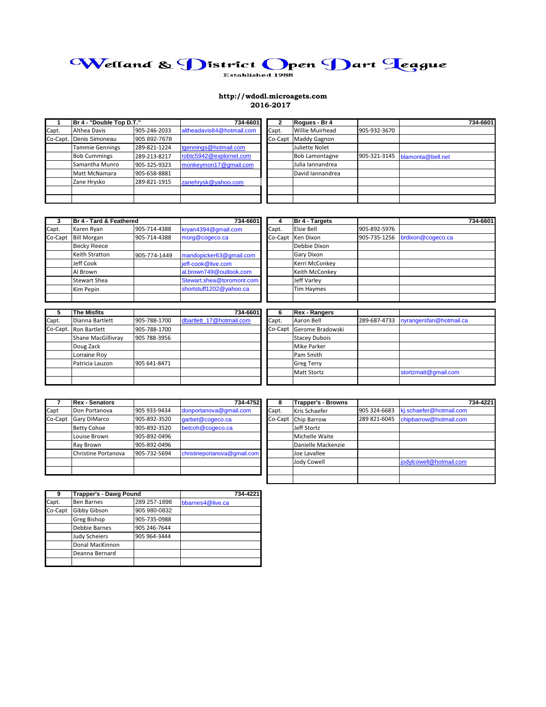# Welland & District Open Dart Teague

## **http://wdodl.microagets.com 2016-2017**

|          | Br 4 - "Double Top D.T." |              | 734-6601                  |         | Rogues - Br 4          |              |                   | 734-6601 |
|----------|--------------------------|--------------|---------------------------|---------|------------------------|--------------|-------------------|----------|
| Capt.    | Althea Davis             | 905-246-2033 | altheadavis84@hotmail.com | Capt.   | <b>Willie Muirhead</b> | 905-932-3670 |                   |          |
| Co-Capt. | Denis Simoneau           | 905 892-7678 |                           | Co-Capt | <b>Maddy Gagnon</b>    |              |                   |          |
|          | <b>Tammie Gennings</b>   | 289-821-1224 | tgennings@hotmail.com     |         | Juliette Nolet         |              |                   |          |
|          | <b>Bob Cummings</b>      | 289-213-8217 | robtc5942@explornet.com   |         | <b>Bob Lamontagne</b>  | 905-321-3145 | blamonta@bell.net |          |
|          | Samantha Munro           | 905-325-9323 | monkeymon17@gmail.com     |         | Julia Iannandrea       |              |                   |          |
|          | Matt McNamara            | 905-658-8881 |                           |         | David lannandrea       |              |                   |          |
|          | Zane Hrysko              | 289-821-1915 | zanehrysk@yahoo.com       |         |                        |              |                   |          |
|          |                          |              |                           |         |                        |              |                   |          |
|          |                          |              |                           |         |                        |              |                   |          |

|         | Br 4 - Tard & Feathered |              | 734-6601                  |       | Br 4 - Targets    |              | 734-6601          |
|---------|-------------------------|--------------|---------------------------|-------|-------------------|--------------|-------------------|
| Capt.   | Karen Ryan              | 905-714-4388 | kryan4394@gmail.com       | Capt. | Elsie Bell        | 905-892-5976 |                   |
| Co-Capt | <b>Bill Morgan</b>      | 905-714-4388 | morg@cogeco.ca            |       | Co-Capt Ken Dixon | 905-735-1256 | brdixon@cogeco.ca |
|         | <b>Becky Reece</b>      |              |                           |       | Debbie Dixon      |              |                   |
|         | Keith Stratton          | 905-774-1449 | mandopicker63@gmail.com   |       | <b>Gary Dixon</b> |              |                   |
|         | Jeff Cook               |              | jeff-cook@live.com        |       | Kerri McConkey    |              |                   |
|         | Al Brown                |              | al.brown749@outlook.com   |       | Keith McConkey    |              |                   |
|         | <b>Stewart Shea</b>     |              | Stewart.shea@toromont.com |       | Jeff Varley       |              |                   |
|         | Kim Pepin               |              | shortstuff1202@yahoo.ca   |       | Tim Haymes        |              |                   |
|         |                         |              |                           |       |                   |              |                   |

| 5     | <b>The Misfits</b>    |              | 734-6601                 |       | <b>Rex - Rangers</b>     |                                      |
|-------|-----------------------|--------------|--------------------------|-------|--------------------------|--------------------------------------|
| Capt. | Dianna Bartlett       | 905-788-1700 | dbartlett 17@hotmail.com | Capt. | Aaron Bell               | 289-687-4733 nyrangersfan@hotmail.ca |
|       | Co-Capt. Ron Bartlett | 905-788-1700 |                          |       | Co-Capt Gerome Bradowski |                                      |
|       | Shane MacGillivray    | 905 788-3956 |                          |       | <b>Stacey Dubois</b>     |                                      |
|       | Doug Zack             |              |                          |       | <b>Mike Parker</b>       |                                      |
|       | Lorraine Roy          |              |                          |       | Pam Smith                |                                      |
|       | Patricia Lauzon       | 905 641-8471 |                          |       | <b>Greg Terry</b>        |                                      |
|       |                       |              |                          |       | <b>Matt Stortz</b>       | stortzmatt@gmail.com                 |
|       |                       |              |                          |       |                          |                                      |

|         | <b>Rex - Senators</b> |              | 734 4752                     |       | <b>Trapper's - Browns</b> |              | 734-4221                |
|---------|-----------------------|--------------|------------------------------|-------|---------------------------|--------------|-------------------------|
| Capt    | Don Portanova         | 905 933-9434 | donportanova@gmail.com       | Capt. | Kris Schaefer             | 905 324-6683 | kj.schaefer@hotmail.com |
| Co-Capt | <b>Gary DiMarco</b>   | 905-892-3520 | garbet@cogeco.ca             |       | Co-Capt Chip Barrow       | 289 821-6045 | chipbarrow@hotmail.com  |
|         | <b>Betty Cohoe</b>    | 905-892-3520 | betcoh@cogeco.ca             |       | Jeff Stortz               |              |                         |
|         | Louise Brown          | 905-892-0496 |                              |       | Michelle Waite            |              |                         |
|         | Ray Brown             | 905-892-0496 |                              |       | Danielle Mackenzie        |              |                         |
|         | Christine Portanova   | 905-732-5694 | christineportanova@gmail.com |       | Joe Lavallee              |              |                         |
|         |                       |              |                              |       | Jody Cowell               |              | jodylcowell@hotmail.com |
|         |                       |              |                              |       |                           |              |                         |
|         |                       |              |                              |       |                           |              |                         |

| 9       | <b>Trapper's - Dawg Pound</b> |              | 734-4221         |  |  |
|---------|-------------------------------|--------------|------------------|--|--|
| Capt.   | <b>Ben Barnes</b>             | 289 257-1898 | bbarnes4@live.ca |  |  |
| Co-Capt | Gibby Gibson                  | 905 980-0832 |                  |  |  |
|         | Greg Bishop                   | 905-735-0988 |                  |  |  |
|         | Debbie Barnes                 | 905 246-7644 |                  |  |  |
|         | <b>Judy Scheiers</b>          | 905 964-3444 |                  |  |  |
|         | Donal MacKinnon               |              |                  |  |  |
|         | Deanna Bernard                |              |                  |  |  |
|         |                               |              |                  |  |  |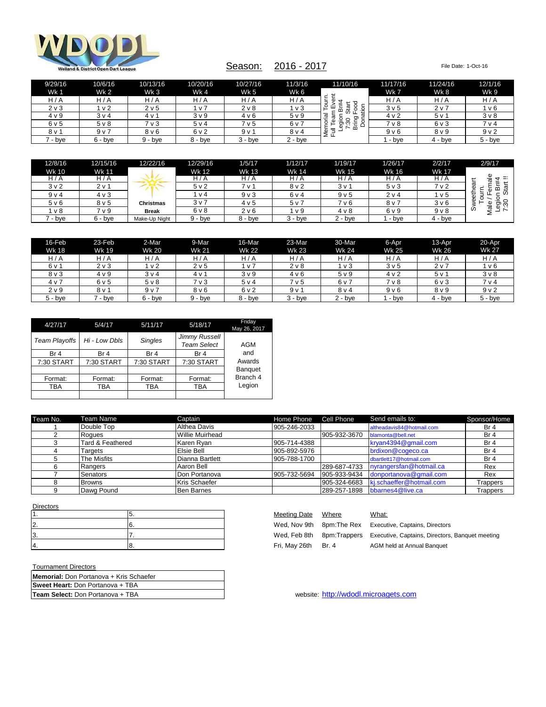

## Season: 2016 - 2017 File Date: 1-Oct-16

| 9/29/16 | 10/6/16          | 10/13/16         | 10/20/16         | 10/27/16         | 11/3/16          | 11/10/16                                        | 11/17/16         | 11/24/16       | 12/1/16          |
|---------|------------------|------------------|------------------|------------------|------------------|-------------------------------------------------|------------------|----------------|------------------|
| Wk 1    | <b>Wk 2</b>      | Wk 3             | Wk4              | <b>Wk 5</b>      | Wk 6             |                                                 | Wk 7             | Wk 8           | Wk 9             |
| H/A     | H/A              | H/A              | H/A              | H/A              | H/A              | ىپ                                              | H/A              | H/A            | H/A              |
| 2 v 3   | v <sub>2</sub>   | 2 v 5            | i v 7            | 2 <sub>V</sub> 8 | 1 v 3            | ទី<br>និ<br>o<br>ш<br>هٔ<br>$\circ$<br>⊢<br>'ਜ਼ | 3 <sub>v</sub> 5 | 2 <sub>v</sub> | v 6              |
| 4 v 9   | 3 <sub>v</sub> 4 | 4 v 1            | 3 <sub>V</sub> 9 | 4 v 6            | 5 <sub>v</sub> 9 | $\overline{\mathfrak{a}}$<br>ō<br>$\circ$       | 4 <sub>v</sub> 2 | 5v1            | $3v$ 8           |
| 6 v 5   | $5v$ 8           | 7 v 3            | 5v4              | 7 v 5            | 6 v 7            | န္တီ ခု<br>∘<br>ੀ≣ ∂<br>═<br>$\sim$             | 7 v 8            | 6 v 3          | 7 <sub>V</sub> 4 |
| 8 v 1   | 9 <sub>v</sub>   | 8 <sub>V</sub> 6 | 6 v 2            | 9v1              | 8 <sub>V</sub> 4 | മ<br>₹<br>Ф<br>Σ∟                               | 9 <sub>v</sub> 6 | 8 v 9          | 9 <sub>v</sub> 2 |
| ' - bye | $6 - bve$        | 9 - bye          | 8 - bye          | $3 - b$ ve       | $2 - b$ ve       |                                                 | - bye            | 4 - bye        | $5 - b$ ve       |

| 12/8/16          | 12/15/16         | 12/22/16         | 12/29/16         | 1/5/17  | 1/12/17          | 1/19/17          | 1/26/17 | 2/2/17           | 2/9/17                             |
|------------------|------------------|------------------|------------------|---------|------------------|------------------|---------|------------------|------------------------------------|
| Wk 10            | <b>Wk 11</b>     |                  | <b>Wk 12</b>     | Wk 13   | Wk 14            | <b>Wk 15</b>     | Wk 16   | <b>Wk 17</b>     |                                    |
| H / A            | H / A            |                  | H / A            | H / A   | H/A              | H/A              | H/A     | H/A              | --<br>ゼ                            |
| 3 <sub>v</sub> 2 | $2v$ 1           |                  | 5 <sub>v</sub> 2 | 7 v '   | 8 <sub>v</sub> 2 | 3v'              | 5 v 3   | 7 v 2            | π<br>Ф<br>മ<br>w                   |
| 9 <sub>v</sub>   | 4 v 3            |                  | $\vee$ 4         | $9V$ 3  | 6 v 4            | 9 <sub>v</sub> 5 | 2 v 4   | 1 v 5            | Ó<br>휾<br>-                        |
| 5 <sub>v</sub> 6 | 8 <sub>V</sub> 5 | <b>Christmas</b> | 3 <sub>v</sub>   | 4v5     | 5 v 7            | 7 v 6            | 8 v 7   | 3 <sub>v</sub> 6 | Φ<br>ā8<br>Φ                       |
| v 8              | 7 v 9            | <b>Break</b>     | 6 v 8            | 2 v 6   | l v 9            | $4 \vee 8$       | 6 v 9   | $9V$ 8           | ₫<br>Ô<br>$\overline{\phantom{0}}$ |
| - bve            | $6 - bve$        | Make-Up Night    | $9 - bve$        | 8 - bve | $3 - bve$        | $2 - b$ ye       | - bve   | $4 - bve$        |                                    |

| 16-Feb           | 23-Feb       | 2-Mar          | 9-Mar            | 16-Mar           | 23-Mar          | 30-Mar           | 6-Apr            | 13-Apr       | 20-Apr           |
|------------------|--------------|----------------|------------------|------------------|-----------------|------------------|------------------|--------------|------------------|
| Wk 18            | <b>Wk 19</b> | <b>Wk 20</b>   | <b>Wk 21</b>     | <b>Wk 22</b>     | <b>Wk 23</b>    | <b>Wk 24</b>     | Wk 25            | <b>Wk 26</b> | <b>Wk 27</b>     |
| H/A              | H/A          | H / A          | H/A              | H / A            | H/A             | H/A              | H/A              | H/A          | H/A              |
| 6 v 1            | 2 v 3        | 1 v 2          | 2 <sub>v</sub> 5 | 1 v 7            | $2v$ 8          | 1 v 3            | 3 <sub>v</sub> 5 | 2 v 7        | 1 v 6            |
| 8 v 3            | 4 v 9        | 3 v 4          | 4 v 1            | 3 <sub>V</sub> 9 | 4 v 6           | 5 <sub>v</sub> 9 | 4 v 2            | 5v1          | 3 <sub>V</sub> 8 |
| 4 <sub>v</sub>   | 6 v 5        | $5v$ 8         | 7 v 3            | 5 v 4            | 7 v 5           | 6 v 7            | 7 v 8            | 6 v 3        | 7 v 4            |
| 2 <sub>V</sub> 9 | 8 v 1        | 9 <sub>v</sub> | 8 <sub>V</sub> 6 | 6v2              | 9v <sub>1</sub> | 8 <sub>V</sub> 4 | 9 <sub>v</sub> 6 | 8 v 9        | 9 <sub>v</sub> 2 |
| $5 - bve$        | ' - bve      | $6 - bve$      | 9 - bve          | 8 - bve          | 3 - bye         | $2 - b$ ye       | - bve            | 4 - bve      | $5 - bve$        |

| 4/27/17       | 5/4/17          | 5/11/17         | 5/18/17                             | Friday<br>May 26, 2017 |
|---------------|-----------------|-----------------|-------------------------------------|------------------------|
| Team Playoffs | Hi - Low Dbls   | <b>Singles</b>  | Jimmy Russell<br><b>Team Select</b> | AGM                    |
| Br 4          | Br <sub>4</sub> | Br <sub>4</sub> | Br 4                                | and                    |
| 7:30 START    | 7:30 START      | 7:30 START      | 7:30 START                          | Awards                 |
|               |                 |                 |                                     | <b>Banquet</b>         |
| Format:       | Format:         | Format:         | Format:                             | Branch 4               |
| TBA           | TBA             | TBA             | <b>TBA</b>                          | Legion                 |
|               |                 |                 |                                     |                        |

| Team No. | Team Name        | Captain                | Home Phone   | Cell Phone   | Send emails to:           | Sponsor/Home    |
|----------|------------------|------------------------|--------------|--------------|---------------------------|-----------------|
|          | Double Top       | <b>Althea Davis</b>    | 905-246-2033 |              | altheadavis84@hotmail.com | Br 4            |
|          | Rogues           | <b>Willie Muirhead</b> |              | 905-932-3670 | blamonta@bell.net         | Br 4            |
|          | Tard & Feathered | Karen Rvan             | 905-714-4388 |              | kryan4394@gmail.com       | Br <sub>4</sub> |
|          | Tarɑets          | <b>Elsie Bell</b>      | 905-892-5976 |              | brdixon@cogeco.ca         | Br <sub>4</sub> |
|          | The Misfits      | Dianna Bartlett        | 905-788-1700 |              | dbartlett17@hotmail.com   | Br 4            |
|          | Rangers          | Aaron Bell             |              | 289-687-4733 | nyrangersfan@hotmail.ca   | Rex             |
|          | Senators         | Don Portanova          | 905-732-5694 | 905-933-9434 | donportanova@gmail.com    | Rex             |
|          | <b>Browns</b>    | Kris Schaefer          |              | 905-324-6683 | kj.schaeffer@hotmail.com  | Trappers        |
|          | Dawg Pound       | <b>Ben Barnes</b>      |              | 289-257-1898 | bbarnes4@live.ca          | Trappers        |

| <b>Directors</b> |  |
|------------------|--|
|                  |  |
| c                |  |
| c                |  |
|                  |  |

| Tournament Directors |  |
|----------------------|--|
|----------------------|--|

| Tournament Directors                    |
|-----------------------------------------|
| Memorial: Don Portanova + Kris Schaefer |
| Sweet Heart: Don Portanova + TBA        |
| <b>Team Select: Don Portanova + TBA</b> |

| Meeting Date  | Where | What:                                                         |
|---------------|-------|---------------------------------------------------------------|
| Wed, Nov 9th  |       | 8pm: The Rex Executive, Captains, Directors                   |
| Wed, Feb 8th  |       | 8pm: Trappers Executive, Captains, Directors, Banquet meeting |
| Fri, May 26th | Br. 4 | AGM held at Annual Banquet                                    |
|               |       |                                                               |

website: [http://wdodl.microagets.com](http://wdodl.microagets.com/)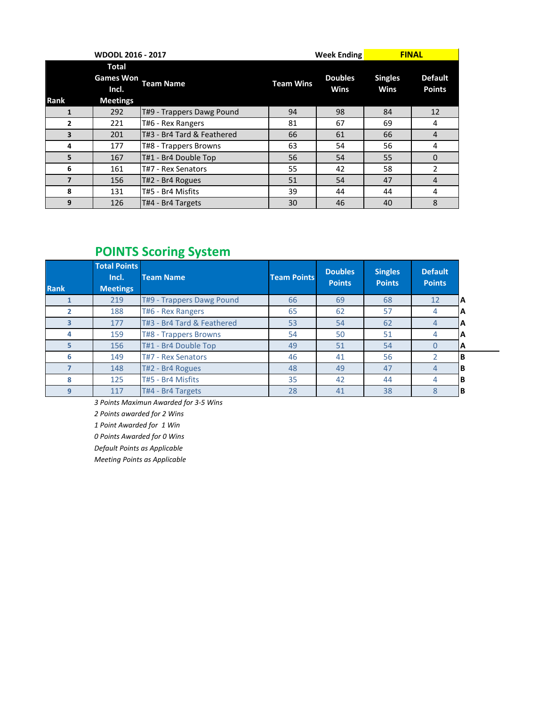|                | <b>WDODL 2016 - 2017</b>                                     |                            | <b>FINAL</b><br><b>Week Ending</b> |                        |                        |                                 |
|----------------|--------------------------------------------------------------|----------------------------|------------------------------------|------------------------|------------------------|---------------------------------|
| Rank           | <b>Total</b><br><b>Games Won</b><br>Incl.<br><b>Meetings</b> | <b>Team Name</b>           | <b>Team Wins</b>                   | <b>Doubles</b><br>Wins | <b>Singles</b><br>Wins | <b>Default</b><br><b>Points</b> |
| 1              | 292                                                          | T#9 - Trappers Dawg Pound  | 94                                 | 98                     | 84                     | 12                              |
| $\overline{2}$ | 221                                                          | T#6 - Rex Rangers          | 81                                 | 67                     | 69                     | 4                               |
| 3              | 201                                                          | T#3 - Br4 Tard & Feathered | 66                                 | 61                     | 66                     | 4                               |
| 4              | 177                                                          | T#8 - Trappers Browns      | 63                                 | 54                     | 56                     | 4                               |
| 5              | 167                                                          | T#1 - Br4 Double Top       | 56                                 | 54                     | 55                     | $\Omega$                        |
| 6              | 161                                                          | T#7 - Rex Senators         | 55                                 | 42                     | 58                     | 2                               |
| 7              | 156                                                          | T#2 - Br4 Rogues           | 51                                 | 54                     | 47                     | 4                               |
| 8              | 131                                                          | T#5 - Br4 Misfits          | 39                                 | 44                     | 44                     | 4                               |
| 9              | 126                                                          | T#4 - Br4 Targets          | 30                                 | 46                     | 40                     | 8                               |

# **POINTS Scoring System**

| <b>Rank</b> | <b>Total Points</b><br>Incl.<br><b>Meetings</b> | <b>Team Name</b>           | <b>Team Points</b> | <b>Doubles</b><br><b>Points</b> | <b>Singles</b><br><b>Points</b> | <b>Default</b><br><b>Points</b> |    |
|-------------|-------------------------------------------------|----------------------------|--------------------|---------------------------------|---------------------------------|---------------------------------|----|
|             | 219                                             | T#9 - Trappers Dawg Pound  | 66                 | 69                              | 68                              | 12                              | ΙA |
|             | 188                                             | T#6 - Rex Rangers          | 65                 | 62                              | 57                              | 4                               | ΙA |
|             | 177                                             | T#3 - Br4 Tard & Feathered | 53                 | 54                              | 62                              | 4                               | ΙA |
| 4           | 159                                             | T#8 - Trappers Browns      | 54                 | 50                              | 51                              | 4                               | ΙA |
| 5           | 156                                             | T#1 - Br4 Double Top       | 49                 | 51                              | 54                              | O                               | ΙA |
| 6           | 149                                             | T#7 - Rex Senators         | 46                 | 41                              | 56                              |                                 | lВ |
|             | 148                                             | T#2 - Br4 Rogues           | 48                 | 49                              | 47                              | 4                               | IΒ |
| 8           | 125                                             | T#5 - Br4 Misfits          | 35                 | 42                              | 44                              | 4                               | lВ |
| 9           | 117                                             | T#4 - Br4 Targets          | 28                 | 41                              | 38                              | 8                               | IΒ |

*3 Points Maximun Awarded for 3-5 Wins*

*2 Points awarded for 2 Wins*

*1 Point Awarded for 1 Win*

*0 Points Awarded for 0 Wins*

*Default Points as Applicable* 

*Meeting Points as Applicable*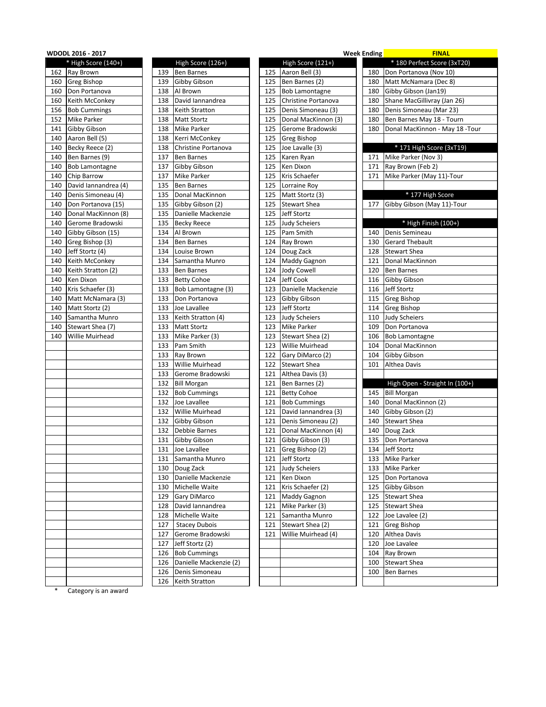|     | WDODL 2016 - 2017     |     |                        |     |                        | <b>Week Ending</b> | <b>FINAL</b>                    |
|-----|-----------------------|-----|------------------------|-----|------------------------|--------------------|---------------------------------|
|     | * High Score (140+)   |     | High Score (126+)      |     | High Score (121+)      |                    | * 180 Perfect Score (3xT20)     |
| 162 | Ray Brown             | 139 | <b>Ben Barnes</b>      | 125 | Aaron Bell (3)         | 180                | Don Portanova (Nov 10)          |
| 160 | <b>Greg Bishop</b>    | 139 | Gibby Gibson           | 125 | Ben Barnes (2)         | 180                | Matt McNamara (Dec 8)           |
| 160 | Don Portanova         | 138 | Al Brown               | 125 | <b>Bob Lamontagne</b>  | 180                | Gibby Gibson (Jan19)            |
| 160 | Keith McConkey        | 138 | David lannandrea       | 125 | Christine Portanova    | 180                | Shane MacGillivray (Jan 26)     |
| 156 | <b>Bob Cummings</b>   | 138 | Keith Stratton         | 125 | Denis Simoneau (3)     | 180                | Denis Simoneau (Mar 23)         |
| 152 | <b>Mike Parker</b>    | 138 | <b>Matt Stortz</b>     | 125 | Donal MacKinnon (3)    | 180                | Ben Barnes May 18 - Tourn       |
| 141 | Gibby Gibson          | 138 | Mike Parker            | 125 | Gerome Bradowski       | 180                | Donal MacKinnon - May 18 - Tour |
| 140 | Aaron Bell (5)        | 138 | Kerri McConkey         | 125 | <b>Greg Bishop</b>     |                    |                                 |
| 140 | Becky Reece (2)       | 138 | Christine Portanova    | 125 | Joe Lavalle (3)        |                    | * 171 High Score (3xT19)        |
| 140 | Ben Barnes (9)        | 137 | <b>Ben Barnes</b>      | 125 | Karen Ryan             | 171                | Mike Parker (Nov 3)             |
| 140 | <b>Bob Lamontagne</b> | 137 | Gibby Gibson           | 125 | Ken Dixon              | 171                | Ray Brown (Feb 2)               |
| 140 | Chip Barrow           | 137 | Mike Parker            | 125 | Kris Schaefer          | 171                | Mike Parker (May 11)-Tour       |
| 140 | David Iannandrea (4)  | 135 | <b>Ben Barnes</b>      | 125 | Lorraine Roy           |                    |                                 |
| 140 | Denis Simoneau (4)    | 135 | Donal MacKinnon        | 125 | Matt Stortz (3)        |                    | * 177 High Score                |
| 140 | Don Portanova (15)    | 135 | Gibby Gibson (2)       | 125 | <b>Stewart Shea</b>    | 177                | Gibby Gibson (May 11)-Tour      |
| 140 | Donal MacKinnon (8)   | 135 | Danielle Mackenzie     | 125 | Jeff Stortz            |                    |                                 |
| 140 | Gerome Bradowski      | 135 | <b>Becky Reece</b>     | 125 | <b>Judy Scheiers</b>   |                    | * High Finish (100+)            |
| 140 | Gibby Gibson (15)     | 134 | Al Brown               | 125 | Pam Smith              | 140                | Denis Semineau                  |
| 140 | Greg Bishop (3)       | 134 | <b>Ben Barnes</b>      | 124 | Ray Brown              | 130                | <b>Gerard Thebault</b>          |
| 140 | Jeff Stortz (4)       | 134 | Louise Brown           | 124 | Doug Zack              | 128                | <b>Stewart Shea</b>             |
| 140 | Keith McConkey        | 134 | Samantha Munro         | 124 | <b>Maddy Gagnon</b>    | 121                | Donal MacKinnon                 |
| 140 | Keith Stratton (2)    | 133 | <b>Ben Barnes</b>      | 124 | <b>Jody Cowell</b>     | 120                | <b>Ben Barnes</b>               |
| 140 | <b>Ken Dixon</b>      | 133 | <b>Betty Cohoe</b>     | 124 | Jeff Cook              | 116                | Gibby Gibson                    |
| 140 | Kris Schaefer (3)     | 133 | Bob Lamontagne (3)     | 123 | Danielle Mackenzie     | 116                | Jeff Stortz                     |
| 140 | Matt McNamara (3)     | 133 | Don Portanova          | 123 | Gibby Gibson           | 115                | <b>Greg Bishop</b>              |
| 140 | Matt Stortz (2)       | 133 | Joe Lavallee           | 123 | Jeff Stortz            | 114                | <b>Greg Bishop</b>              |
| 140 | Samantha Munro        | 133 | Keith Stratton (4)     | 123 | <b>Judy Scheiers</b>   | 110                | <b>Judy Scheiers</b>            |
| 140 | Stewart Shea (7)      | 133 | <b>Matt Stortz</b>     | 123 | <b>Mike Parker</b>     | 109                | Don Portanova                   |
| 140 | Willie Muirhead       | 133 | Mike Parker (3)        | 123 | Stewart Shea (2)       | 106                | <b>Bob Lamontagne</b>           |
|     |                       | 133 | Pam Smith              | 123 | <b>Willie Muirhead</b> | 104                | Donal MacKinnon                 |
|     |                       | 133 | Ray Brown              | 122 | Gary DiMarco (2)       | 104                | Gibby Gibson                    |
|     |                       | 133 | <b>Willie Muirhead</b> | 122 | <b>Stewart Shea</b>    | 101                | Althea Davis                    |
|     |                       | 133 | Gerome Bradowski       | 121 | Althea Davis (3)       |                    |                                 |
|     |                       | 132 | <b>Bill Morgan</b>     | 121 | Ben Barnes (2)         |                    | High Open - Straight In (100+)  |
|     |                       | 132 | <b>Bob Cummings</b>    | 121 | <b>Betty Cohoe</b>     | 145                | <b>Bill Morgan</b>              |
|     |                       | 132 | Joe Lavallee           | 121 | <b>Bob Cummings</b>    | 140                | Donal MacKinnon (2)             |
|     |                       | 132 | <b>Willie Muirhead</b> | 121 | David lannandrea (3)   | 140                | Gibby Gibson (2)                |
|     |                       | 132 | Gibby Gibson           | 121 | Denis Simoneau (2)     | 140                | <b>Stewart Shea</b>             |
|     |                       | 132 | Debbie Barnes          | 121 | Donal MacKinnon (4)    | 140                | Doug Zack                       |
|     |                       | 131 | Gibby Gibson           | 121 | Gibby Gibson (3)       | 135                | Don Portanova                   |
|     |                       |     | 131 Joe Lavallee       | 121 | Greg Bishop (2)        | 134                | Jeff Stortz                     |
|     |                       |     | 131 Samantha Munro     | 121 | Jeff Stortz            |                    | 133 Mike Parker                 |
|     |                       |     | 130 Doug Zack          | 121 | <b>Judy Scheiers</b>   |                    | 133 Mike Parker                 |
|     |                       |     | 130 Danielle Mackenzie | 121 | Ken Dixon              |                    | 125 Don Portanova               |
|     |                       | 130 | Michelle Waite         | 121 | Kris Schaefer (2)      |                    | 125 Gibby Gibson                |
|     |                       |     | 129 Gary DiMarco       | 121 | Maddy Gagnon           |                    | 125 Stewart Shea                |
|     |                       |     | 128 David lannandrea   | 121 | Mike Parker (3)        |                    | 125 Stewart Shea                |
|     |                       |     | 128 Michelle Waite     | 121 | Samantha Munro         |                    | 122 Joe Lavalee (2)             |
|     |                       | 127 | <b>Stacey Dubois</b>   | 121 | Stewart Shea (2)       | 121                | <b>Greg Bishop</b>              |
|     |                       |     | 127 Gerome Bradowski   | 121 | Willie Muirhead (4)    | 120                | Althea Davis                    |
|     |                       | 127 | Jeff Stortz (2)        |     |                        | 120                | Joe Lavalee                     |
|     |                       |     | 126 Bob Cummings       |     |                        |                    | 104 Ray Brown                   |
|     |                       | 126 | Danielle Mackenzie (2) |     |                        | 100                | <b>Stewart Shea</b>             |
|     |                       | 126 | Denis Simoneau         |     |                        | 100                | <b>Ben Barnes</b>               |
|     |                       |     | 126 Keith Stratton     |     |                        |                    |                                 |
|     |                       |     |                        |     |                        |                    |                                 |

\* Category is an award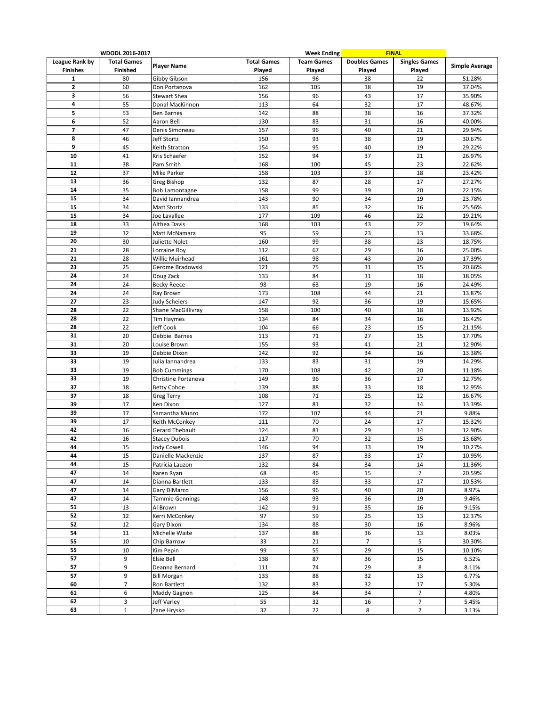|                 | WDODL 2016-2017    |                        |                    | <b>Week Ending</b> | <b>FINAL</b>         |                      |                       |
|-----------------|--------------------|------------------------|--------------------|--------------------|----------------------|----------------------|-----------------------|
| League Rank by  | <b>Total Games</b> |                        | <b>Total Games</b> | <b>Team Games</b>  | <b>Doubles Games</b> | <b>Singles Games</b> |                       |
| <b>Finishes</b> | <b>Finished</b>    | <b>Player Name</b>     | Played             | Played             | Played               | Played               | <b>Simple Average</b> |
| 1               | 80                 | Gibby Gibson           | 156                | 96                 | 38                   | 22                   | 51.28%                |
| 2               | 60                 | Don Portanova          | 162                | 105                | 38                   | 19                   | 37.04%                |
| 3               | 56                 | Stewart Shea           | 156                | 96                 | 43                   | 17                   | 35.90%                |
| 4               | 55                 | Donal MacKinnon        | 113                | 64                 | 32                   | 17                   | 48.67%                |
| 5               | 53                 | Ben Barnes             | 142                | 88                 | 38                   | 16                   | 37.32%                |
| 6               | 52                 | Aaron Bell             | 130                | 83                 | 31                   | 16                   | 40.00%                |
| 7               |                    |                        |                    |                    |                      |                      |                       |
|                 | 47                 | Denis Simoneau         | 157                | 96                 | 40                   | 21                   | 29.94%                |
| 8               | 46                 | Jeff Stortz            | 150                | 93                 | 38                   | 19                   | 30.67%                |
| 9               | 45                 | Keith Stratton         | 154                | 95                 | 40                   | 19                   | 29.22%                |
| 10              | 41                 | Kris Schaefer          | 152                | 94                 | 37                   | 21                   | 26.97%                |
| 11              | 38                 | Pam Smith              | 168                | 100                | 45                   | 23                   | 22.62%                |
| 12              | 37                 | Mike Parker            | 158                | 103                | 37                   | 18                   | 23.42%                |
| 13              | 36                 | Greg Bishop            | 132                | 87                 | 28                   | 17                   | 27.27%                |
| 14              | 35                 | Bob Lamontagne         | 158                | 99                 | 39                   | 20                   | 22.15%                |
| 15              | 34                 | David lannandrea       | 143                | 90                 | 34                   | 19                   | 23.78%                |
| 15              | 34                 | Matt Stortz            | 133                | 85                 | 32                   | 16                   | 25.56%                |
| 15              | 34                 | Joe Lavallee           | 177                | 109                | 46                   | 22                   | 19.21%                |
| 18              | 33                 | Althea Davis           | 168                | 103                | 43                   | 22                   | 19.64%                |
| 19              | 32                 | Matt McNamara          | 95                 | 59                 | 23                   | 13                   | 33.68%                |
| 20              | 30                 | Juliette Nolet         | 160                | 99                 | 38                   | 23                   | 18.75%                |
| 21              | 28                 | Lorraine Roy           | 112                | 67                 | 29                   | 16                   | 25.00%                |
| 21              | 28                 | Willie Muirhead        | 161                | 98                 | 43                   | 20                   | 17.39%                |
| 23              | 25                 | Gerome Bradowski       | 121                | 75                 | 31                   | 15                   | 20.66%                |
| 24              | 24                 | Doug Zack              | 133                | 84                 | 31                   | 18                   | 18.05%                |
| 24              | 24                 | <b>Becky Reece</b>     | 98                 | 63                 | 19                   | 16                   | 24.49%                |
| 24              | 24                 |                        |                    |                    | 44                   | 21                   |                       |
|                 |                    | Ray Brown              | 173                | 108                |                      |                      | 13.87%                |
| 27              | 23                 | Judy Scheiers          | 147                | 92                 | 36                   | 19                   | 15.65%                |
| 28              | 22                 | Shane MacGillivray     | 158                | 100                | 40                   | 18                   | 13.92%                |
| 28              | 22                 | <b>Tim Haymes</b>      | 134                | 84                 | 34                   | 16                   | 16.42%                |
| 28              | 22                 | Jeff Cook              | 104                | 66                 | 23                   | 15                   | 21.15%                |
| 31              | 20                 | Debbie Barnes          | 113                | 71                 | 27                   | 15                   | 17.70%                |
| 31              | 20                 | Louise Brown           | 155                | 93                 | 41                   | 21                   | 12.90%                |
| 33              | 19                 | Debbie Dixon           | 142                | 92                 | 34                   | 16                   | 13.38%                |
| 33              | 19                 | Julia Iannandrea       | 133                | 83                 | 31                   | 19                   | 14.29%                |
| 33              | 19                 | <b>Bob Cummings</b>    | 170                | 108                | 42                   | 20                   | 11.18%                |
| 33              | 19                 | Christine Portanova    | 149                | 96                 | 36                   | 17                   | 12.75%                |
| 37              | 18                 | <b>Betty Cohoe</b>     | 139                | 88                 | 33                   | 18                   | 12.95%                |
| 37              | 18                 | <b>Greg Terry</b>      | 108                | 71                 | 25                   | 12                   | 16.67%                |
| 39              | 17                 | Ken Dixon              | 127                | 81                 | 32                   | 14                   | 13.39%                |
| 39              | 17                 | Samantha Munro         | 172                | 107                | 44                   | 21                   | 9.88%                 |
| 39              | 17                 | Keith McConkey         | 111                | 70                 | 24                   | 17                   | 15.32%                |
| 42              | 16                 | Gerard Thebault        | 124                | 81                 | 29                   | 14                   | 12.90%                |
| 42              | 16                 | <b>Stacey Dubois</b>   | 117                | 70                 | 32                   | 15                   | 13.68%                |
| 44              | 15                 | <b>Jody Cowell</b>     | 146                | 94                 | 33                   | 19                   | 10.27%                |
| 44              | 15                 | Danielle Mackenzie     | 137                | 87                 | 33                   | 17                   | 10.95%                |
| 44              | 15                 | Patricia Lauzon        | 132                | 84                 | 34                   | $14\,$               | 11.36%                |
| 47              | 14                 | Karen Ryan             | 68                 | 46                 | 15                   | $\overline{7}$       | 20.59%                |
| 47              | 14                 | Dianna Bartlett        | 133                | 83                 | 33                   | 17                   | 10.53%                |
| 47              | 14                 | Gary DiMarco           | 156                | 96                 | 40                   | 20                   | 8.97%                 |
| 47              | 14                 | <b>Tammie Gennings</b> | 148                | 93                 | 36                   | 19                   | 9.46%                 |
| 51              | 13                 | Al Brown               | 142                | 91                 | 35                   | 16                   | 9.15%                 |
| 52              |                    |                        |                    |                    |                      |                      |                       |
|                 | 12                 | Kerri McConkey         | 97                 | 59                 | 25                   | 13                   | 12.37%                |
| 52              | 12                 | Gary Dixon             | 134                | 88                 | 30                   | 16                   | 8.96%                 |
| 54              | 11                 | Michelle Waite         | 137                | 88                 | 36                   | 13                   | 8.03%                 |
| 55              | 10                 | Chip Barrow            | 33                 | 21                 | $\overline{7}$       | 5                    | 30.30%                |
| 55              | 10                 | Kim Pepin              | 99                 | 55                 | 29                   | 15                   | 10.10%                |
| 57              | 9                  | Elsie Bell             | 138                | 87                 | 36                   | 15                   | 6.52%                 |
| 57              | 9                  | Deanna Bernard         | 111                | 74                 | 29                   | 8                    | 8.11%                 |
| 57              | 9                  | <b>Bill Morgan</b>     | 133                | 88                 | 32                   | 13                   | 6.77%                 |
| 60              | $\overline{7}$     | Ron Bartlett           | 132                | 83                 | 32                   | 17                   | 5.30%                 |
| 61              | 6                  | Maddy Gagnon           | 125                | 84                 | 34                   | 7                    | 4.80%                 |
| 62              | 3                  | Jeff Varley            | 55                 | 32                 | 16                   | $\overline{7}$       | 5.45%                 |
| 63              | $\mathbf{1}$       | Zane Hrysko            | 32                 | 22                 | 8                    | $\overline{2}$       | 3.13%                 |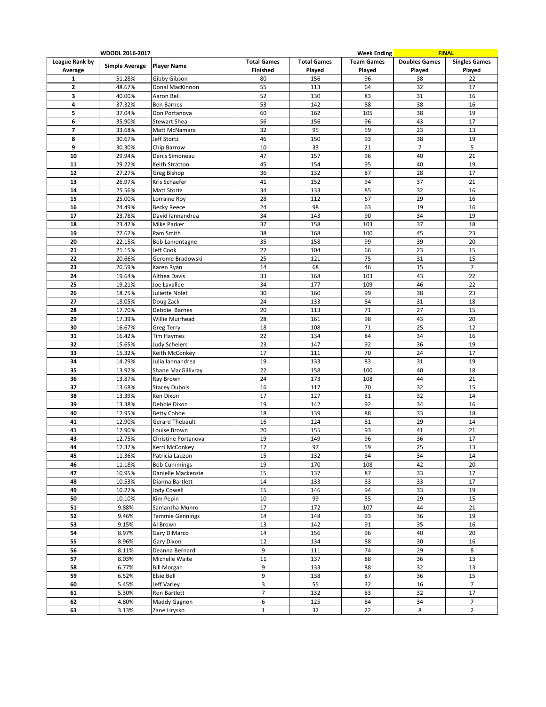|                | WDODL 2016-2017       |                                        |                    |                    | <b>Week Ending</b> |                      | <b>FINAL</b>         |
|----------------|-----------------------|----------------------------------------|--------------------|--------------------|--------------------|----------------------|----------------------|
| League Rank by |                       |                                        | <b>Total Games</b> | <b>Total Games</b> | <b>Team Games</b>  | <b>Doubles Games</b> | <b>Singles Games</b> |
| Average        | <b>Simple Average</b> | <b>Player Name</b>                     | Finished           | Played             | Played             | Played               | Played               |
| $\mathbf{1}$   | 51.28%                | Gibby Gibson                           | 80                 | 156                | 96                 | 38                   | 22                   |
| $\mathbf{2}$   | 48.67%                | Donal MacKinnon                        | 55                 | 113                | 64                 | 32                   | 17                   |
| 3              | 40.00%                | Aaron Bell                             | 52                 | 130                | 83                 | 31                   | 16                   |
| 4              | 37.32%                | <b>Ben Barnes</b>                      | 53                 | 142                | 88                 | 38                   | 16                   |
| 5              | 37.04%                | Don Portanova                          | 60                 | 162                | 105                | 38                   | 19                   |
| 6              | 35.90%                | <b>Stewart Shea</b>                    | 56                 | 156                | 96                 | 43                   | 17                   |
| 7              | 33.68%                | Matt McNamara                          | 32                 | 95                 | 59                 | 23                   | 13                   |
| 8              | 30.67%                | Jeff Stortz                            | 46                 | 150                | 93                 | 38                   | 19                   |
| 9              | 30.30%                | Chip Barrow                            | 10                 | 33                 | 21                 | $\overline{7}$       | 5                    |
| 10             | 29.94%                | Denis Simoneau                         | 47                 | 157                | 96                 | 40                   | 21                   |
| 11             | 29.22%                | Keith Stratton                         | 45                 | 154                | 95                 | 40                   | 19                   |
| 12             | 27.27%                | Greg Bishop                            | 36                 | 132                | 87                 | 28                   | 17                   |
| 13             | 26.97%                | Kris Schaefer                          | 41                 | 152                | 94                 | 37                   | 21                   |
|                | 25.56%                |                                        | 34                 | 133                |                    | 32                   | 16                   |
| 14             |                       | Matt Stortz                            | 28                 |                    | 85<br>67           | 29                   |                      |
| 15             | 25.00%                | Lorraine Roy                           |                    | 112                |                    |                      | 16                   |
| 16             | 24.49%                | <b>Becky Reece</b>                     | 24                 | 98                 | 63                 | 19                   | 16                   |
| 17             | 23.78%                | David lannandrea                       | 34                 | 143                | 90                 | 34                   | 19                   |
| 18             | 23.42%                | Mike Parker                            | 37                 | 158                | 103                | 37                   | 18                   |
| 19             | 22.62%                | Pam Smith                              | 38                 | 168                | 100                | 45                   | 23                   |
| 20             | 22.15%                | Bob Lamontagne                         | 35                 | 158                | 99                 | 39                   | 20                   |
| 21             | 21.15%                | Jeff Cook                              | 22                 | 104                | 66                 | 23                   | 15                   |
| 22             | 20.66%                | Gerome Bradowski                       | 25                 | 121                | 75                 | 31                   | 15                   |
| 23             | 20.59%                | Karen Ryan                             | 14                 | 68                 | 46                 | 15                   | $\overline{7}$       |
| 24             | 19.64%                | Althea Davis                           | 33                 | 168                | 103                | 43                   | 22                   |
| 25             | 19.21%                | Joe Lavallee                           | 34                 | 177                | 109                | 46                   | 22                   |
| 26             | 18.75%                | Juliette Nolet                         | 30                 | 160                | 99                 | 38                   | 23                   |
| 27             | 18.05%                | Doug Zack                              | 24                 | 133                | 84                 | 31                   | 18                   |
| 28             | 17.70%                | Debbie Barnes                          | 20                 | 113                | 71                 | 27                   | 15                   |
| 29             | 17.39%                | Willie Muirhead                        | 28                 | 161                | 98                 | 43                   | 20                   |
| 30             | 16.67%                | Greg Terry                             | 18                 | 108                | 71                 | 25                   | 12                   |
| 31             | 16.42%                | <b>Tim Haymes</b>                      | 22                 | 134                | 84                 | 34                   | 16                   |
| 32             | 15.65%                | Judy Scheiers                          | 23                 | 147                | 92                 | 36                   | 19                   |
| 33             | 15.32%                | Keith McConkey                         | 17                 | 111                | 70                 | 24                   | 17                   |
| 34             | 14.29%                | Julia Iannandrea                       | 19                 | 133                | 83                 | 31                   | 19                   |
| 35             | 13.92%                | Shane MacGillivray                     | 22                 | 158                | 100                | 40                   | 18                   |
| 36             | 13.87%                | Ray Brown                              | 24                 | 173                | 108                | 44                   | 21                   |
| 37             | 13.68%                | <b>Stacey Dubois</b>                   | 16                 | 117                | 70                 | 32                   | 15                   |
| 38             | 13.39%                | Ken Dixon                              | 17                 | 127                | 81                 | 32                   | 14                   |
| 39             | 13.38%                | Debbie Dixon                           | 19                 | 142                | 92                 | 34                   | 16                   |
| 40             | 12.95%                | <b>Betty Cohoe</b>                     | 18                 | 139                | 88                 | 33                   | 18                   |
| 41             | 12.90%                | <b>Gerard Thebault</b>                 | 16                 | 124                | 81                 | 29                   | 14                   |
| 41             | 12.90%                | Louise Brown                           | 20                 | 155                | 93                 | 41                   | 21                   |
| 43             | 12.75%                | Christine Portanova                    | 19                 | 149                | 96                 | 36                   | 17                   |
| 44             | 12.37%                | Kerri McConkey                         | 12                 | 97                 | 59                 | 25                   | 13                   |
|                |                       |                                        |                    |                    |                    |                      |                      |
| 45<br>46       | 11.36%<br>11.18%      | Patricia Lauzon<br><b>Bob Cummings</b> | 15<br>19           | 132<br>170         | 84<br>108          | 34<br>42             | 14<br>20             |
|                |                       |                                        |                    |                    |                    |                      |                      |
| 47             | 10.95%                | Danielle Mackenzie<br>Dianna Bartlett  | 15                 | 137                | 87                 | 33<br>33             | 17<br>17             |
| 48             | 10.53%                |                                        | 14                 | 133                | 83                 |                      |                      |
| 49             | 10.27%                | Jody Cowell                            | 15                 | 146                | 94                 | 33                   | 19                   |
| 50             | 10.10%                | Kim Pepin                              | 10                 | 99                 | 55                 | 29                   | 15                   |
| 51             | 9.88%                 | Samantha Munro                         | 17                 | 172                | 107                | 44                   | 21                   |
| 52             | 9.46%                 | <b>Tammie Gennings</b>                 | 14                 | 148                | 93                 | 36                   | 19                   |
| 53             | 9.15%                 | Al Brown                               | 13                 | 142                | 91                 | 35                   | 16                   |
| 54             | 8.97%                 | Gary DiMarco                           | 14                 | 156                | 96                 | 40                   | 20                   |
| 55             | 8.96%                 | Gary Dixon                             | 12                 | 134                | 88                 | 30                   | 16                   |
| 56             | 8.11%                 | Deanna Bernard                         | 9                  | 111                | 74                 | 29                   | 8                    |
| 57             | 8.03%                 | Michelle Waite                         | 11                 | 137                | 88                 | 36                   | 13                   |
| 58             | 6.77%                 | <b>Bill Morgan</b>                     | 9                  | 133                | 88                 | 32                   | 13                   |
| 59             | 6.52%                 | Elsie Bell                             | 9                  | 138                | 87                 | 36                   | 15                   |
| 60             | 5.45%                 | Jeff Varley                            | 3                  | 55                 | 32                 | 16                   | $\overline{7}$       |
| 61             | 5.30%                 | Ron Bartlett                           | $\overline{7}$     | 132                | 83                 | 32                   | 17                   |
| 62             | 4.80%                 | Maddy Gagnon                           | 6                  | 125                | 84                 | 34                   | $\overline{7}$       |
| 63             | 3.13%                 | Zane Hrysko                            | $\mathbf{1}$       | 32                 | 22                 | 8                    | $\overline{2}$       |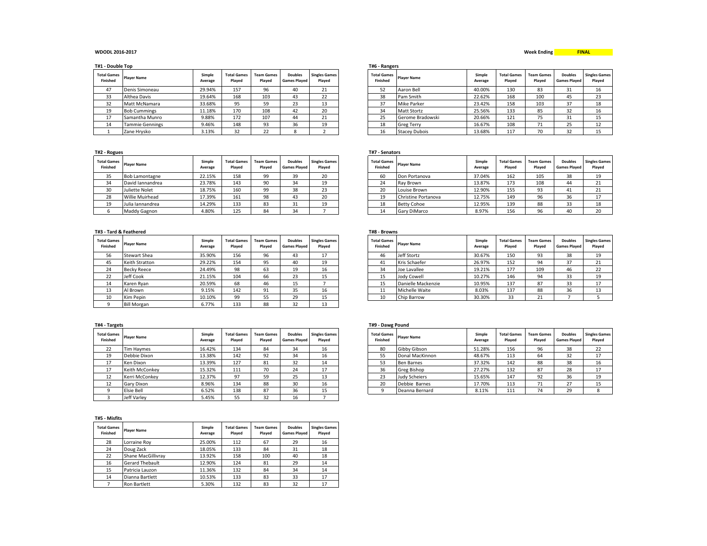### **WDODL 2016-2017 Week Ending**

**T#1 - Double Top T#6 - Rangers**

| <b>Total Games</b><br><b>Finished</b> | <b>Player Name</b>     | Simple<br>Average | <b>Total Games</b><br>Plaved | <b>Team Games</b><br>Played | <b>Doubles</b><br><b>Games Plaved</b> | <b>Singles Games</b><br>Plaved | <b>Total Games</b><br><b>Finished</b> | <b>Player Name</b>   | Simple<br>Average | <b>Total Games</b><br>Played | <b>Team Games</b><br>Played | <b>Doubles</b><br><b>Games Plaved</b> | <b>Singles G</b><br>Playe |
|---------------------------------------|------------------------|-------------------|------------------------------|-----------------------------|---------------------------------------|--------------------------------|---------------------------------------|----------------------|-------------------|------------------------------|-----------------------------|---------------------------------------|---------------------------|
| 47                                    | Denis Simoneau         | 29.94%            | 157                          | 96                          | 40                                    | 24<br>ᅩ                        | 52                                    | Aaron Bell           | 40.00%            | 130                          | 83                          | 31                                    | 16                        |
| 33                                    | Althea Davis           | 19.64%            | 168                          | 103                         | 43                                    | רר<br>22                       | 38                                    | Pam Smith            | 22.62%            | 168                          | 100                         | 45                                    | 23                        |
| 32                                    | Matt McNamara          | 33.68%            | 95                           | EΩ                          | $\sim$<br>دے                          | 13                             | 37                                    | Mike Parker          | 23.42%            | 158                          | 103                         | 37                                    | 18                        |
| 19                                    | <b>Bob Cummings</b>    | 11.18%            | 170                          | 108                         | 42                                    | 20                             | 34                                    | <b>Matt Stortz</b>   | 25.56%            | 133                          | 85                          | 32                                    | 16                        |
| 17                                    | Samantha Munro         | 9.88%             | 172                          | 107                         | 44                                    | 21<br>41                       | $\sim$<br>25                          | Gerome Bradowski     | 20.66%            | 121                          | 75<br>ر ،                   | 31                                    | 15                        |
| 14                                    | <b>Tammie Gennings</b> | 9.46%             | 148                          | 93                          | 36                                    | 19                             | 18                                    | <b>Greg Terry</b>    | 16.67%            | 108                          | 71<br>. .                   | 25                                    | 12                        |
|                                       | Zane Hrvsko            | 3.13%             | 32                           |                             |                                       |                                | 16                                    | <b>Stacev Dubois</b> | 13.68%            | 117                          | 70                          | 32                                    | 15                        |

| <b>Total Games</b><br><b>Finished</b> | <b>Player Name</b>     | Simple<br>Average | <b>Total Games</b><br>Plaved | <b>Team Games</b><br>Plaved | <b>Doubles</b><br><b>Games Plaved</b> | <b>Singles Games</b><br>Played |
|---------------------------------------|------------------------|-------------------|------------------------------|-----------------------------|---------------------------------------|--------------------------------|
| 35                                    | <b>Bob Lamontagne</b>  | 22.15%            | 158                          | 99                          | 39                                    | 20                             |
| 34                                    | David Iannandrea       | 23.78%            | 143                          | 90                          | 34                                    | 19                             |
| 30                                    | Juliette Nolet         | 18.75%            | 160                          | 99                          | 38                                    | 23                             |
| 28                                    | <b>Willie Muirhead</b> | 17.39%            | 161                          | 98                          | 43                                    | 20                             |
| 19                                    | Julia Iannandrea       | 14.29%            | 133                          | 83                          | 31                                    | 19                             |
| 6                                     | Maddy Gagnon           | 4.80%             | 125                          | 84                          | 34                                    |                                |

## **T#3 - Tard & Feathered T#8 - Browns**

| <b>Total Games</b><br>Finished | <b>Player Name</b>  | Simple<br>Average | <b>Total Games</b><br>Played | <b>Team Games</b><br>Plaved | <b>Doubles</b><br><b>Games Plaved</b> | <b>Singles Games</b><br>Played |
|--------------------------------|---------------------|-------------------|------------------------------|-----------------------------|---------------------------------------|--------------------------------|
| 56                             | <b>Stewart Shea</b> | 35.90%            | 156                          | 96                          | 43                                    | 17                             |
| 45                             | Keith Stratton      | 29.22%            | 154                          | 95                          | 40                                    | 19                             |
| 24                             | <b>Becky Reece</b>  | 24.49%            | 98                           | 63                          | 19                                    | 16                             |
| 22                             | Jeff Cook           | 21.15%            | 104                          | 66                          | 23                                    | 15                             |
| 14                             | Karen Ryan          | 20.59%            | 68                           | 46                          | 15                                    |                                |
| 13                             | Al Brown            | 9.15%             | 142                          | 91                          | 35                                    | 16                             |
| 10                             | Kim Pepin           | 10.10%            | 99                           | 55                          | 29                                    | 15                             |
| 9                              | <b>Bill Morgan</b>  | 6.77%             | 133                          | 88                          | 32                                    | 13                             |

| <b>Total Games</b><br><b>Finished</b> | <b>Player Name</b> | Simple<br>Average | <b>Total Games</b><br>Played | <b>Team Games</b><br>Plaved | <b>Doubles</b><br><b>Games Plaved</b> | <b>Singles Games</b><br>Played |
|---------------------------------------|--------------------|-------------------|------------------------------|-----------------------------|---------------------------------------|--------------------------------|
| 22                                    | Tim Haymes         | 16.42%            | 134                          | 84                          | 34                                    | 16                             |
| 19                                    | Debbie Dixon       | 13.38%            | 142                          | 92                          | 34                                    | 16                             |
| 17                                    | Ken Dixon          | 13.39%            | 127                          | 81                          | 32                                    | 14                             |
| 17                                    | Keith McConkey     | 15.32%            | 111                          | 70                          | 24                                    | 17                             |
| 12                                    | Kerri McConkey     | 12.37%            | 97                           | 59                          | 25                                    | 13                             |
| 12                                    | Gary Dixon         | 8.96%             | 134                          | 88                          | 30                                    | 16                             |
| 9                                     | Elsie Bell         | 6.52%             | 138                          | 87                          | 36                                    | 15                             |
| 3                                     | Jeff Varlev        | 5.45%             | 55                           | 32                          | 16                                    |                                |

## **T#5 - Misfits**

| <b>Total Games</b><br>Finished | <b>Player Name</b>     | Simple<br>Average | <b>Total Games</b><br>Played | <b>Team Games</b><br>Plaved | <b>Doubles</b><br><b>Games Played</b> | <b>Singles Games</b><br>Played |
|--------------------------------|------------------------|-------------------|------------------------------|-----------------------------|---------------------------------------|--------------------------------|
| 28                             | Lorraine Roy           | 25.00%            | 112                          | 67                          | 29                                    | 16                             |
| 24                             | Doug Zack              | 18.05%            | 133                          | 84                          | 31                                    | 18                             |
| 22                             | Shane MacGillivrav     | 13.92%            | 158                          | 100                         | 40                                    | 18                             |
| 16                             | <b>Gerard Thebault</b> | 12.90%            | 124                          | 81                          | 29                                    | 14                             |
| 15                             | Patricia Lauzon        | 11.36%            | 132                          | 84                          | 34                                    | 14                             |
| 14                             | Dianna Bartlett        | 10.53%            | 133                          | 83                          | 33                                    | 17                             |
|                                | Ron Bartlett           | 5.30%             | 132                          | 83                          | 32                                    | 17                             |

| <b>Total Games</b><br>Finished | <b>Player Name</b> | Simple<br>Average | <b>Total Games</b><br>Played | <b>Team Games</b><br>Plaved | <b>Doubles</b><br><b>Games Plaved</b> | <b>Singles Games</b><br>Played |
|--------------------------------|--------------------|-------------------|------------------------------|-----------------------------|---------------------------------------|--------------------------------|
| 52                             | Aaron Bell         | 40.00%            | 130                          | 83                          | 31                                    | 16                             |
| 38                             | Pam Smith          | 22.62%            | 168                          | 100                         | 45                                    | 23                             |
| 37                             | <b>Mike Parker</b> | 23.42%            | 158                          | 103                         | 37                                    | 18                             |
| 34                             | <b>Matt Stortz</b> | 25.56%            | 133                          | 85                          | 32                                    | 16                             |
| 25                             | Gerome Bradowski   | 20.66%            | 121                          | 75                          | 31                                    | 15                             |
| 18                             | <b>Greg Terry</b>  | 16.67%            | 108                          | 71                          | 25                                    | 12                             |
| 16                             | Stacew Dubois      | 12 68%            | 117                          | 70                          | 22                                    | 15                             |

## **T#2 - Rogues T#7 - Senators**

| Games<br>ished    | <b>Player Name</b>     | Simple<br>Average | <b>Total Games</b><br>Plaved | <b>Team Games</b><br>Played | <b>Doubles</b><br><b>Games Played</b> | <b>Singles Games</b><br>Plaved | <b>Total Games</b><br><b>Finished</b> | <b>Player Name</b>  | Simple<br>Average | <b>Total Games</b><br>Played | <b>Team Games</b><br>Played | <b>Doubles</b><br><b>Games Played</b> | <b>Singles Games</b><br>Played |
|-------------------|------------------------|-------------------|------------------------------|-----------------------------|---------------------------------------|--------------------------------|---------------------------------------|---------------------|-------------------|------------------------------|-----------------------------|---------------------------------------|--------------------------------|
| $\sim$ $-$<br>35. | <b>Bob Lamontagne</b>  | 22.15%            | 158                          |                             | 39                                    | 20                             | 60                                    | Don Portanova       | 37.04%            | 162                          | 105                         | 38                                    | 19                             |
| 34                | David Jannandrea       | 23.78%            | 143                          |                             | 34                                    | 19                             | 24                                    | Ray Brown           | 13.87%            | 173                          | 108                         | 44                                    | 21                             |
| 30                | Juliette Nolet         | 18.75%            | 160                          |                             | 38                                    | 23                             | 20                                    | Louise Brown        | 12.90%            | 155                          | 93                          | 41                                    | 21                             |
| 28                | <b>Willie Muirhead</b> | 17.39%            | 161                          | 98                          | 43                                    | 20                             |                                       | Christine Portanova | 12.75%            | 149                          | 96                          | 36                                    |                                |
| 19                | Julia Iannandrea       | 14.29%            | 133                          | 83                          | $\mathbf{a}$                          | 19                             | 18                                    | <b>Betty Cohoe</b>  | 12.95%            | 139                          | 00                          | $\sim$<br>33                          | 18                             |
|                   | Maddy Gagnon           | 4.80%             | 125                          | 84                          | 34                                    |                                |                                       | <b>Gary DiMarco</b> | 8.97%             | 156                          | 96                          | 40                                    | zu                             |

| Tard & Feathered |                    |                   |                              |                             |                                       |                                | 1#8 - Browns                   |                    |                   |                              |                      |                                       |                                |
|------------------|--------------------|-------------------|------------------------------|-----------------------------|---------------------------------------|--------------------------------|--------------------------------|--------------------|-------------------|------------------------------|----------------------|---------------------------------------|--------------------------------|
| Games<br>ished   | <b>Player Name</b> | Simple<br>Average | <b>Total Games</b><br>Played | <b>Team Games</b><br>Played | <b>Doubles</b><br><b>Games Played</b> | <b>Singles Games</b><br>Played | <b>Total Games</b><br>Finished | <b>Player Name</b> | Simple<br>Average | <b>Total Games</b><br>Played | Team Games<br>Played | <b>Doubles</b><br><b>Games Played</b> | <b>Singles Games</b><br>Played |
| 56               | Stewart Shea       | 35.90%            | 156                          | 96                          | 43                                    | 17                             | 46                             | Jeff Stortz        | 30.67%            | 150                          | 93                   | 38                                    | 19                             |
| 45               | Keith Stratton     | 29.22%            | 154                          | 95                          | 40                                    | 19                             | 41                             | Kris Schaefer      | 26.97%            | 152                          | 94                   | 37                                    | 21                             |
| 24               | <b>Becky Reece</b> | 24.49%            | 98                           | 63                          | 19                                    | 16                             | 34                             | Joe Lavallee       | 19.21%            | 177                          | 109                  | 46                                    | 22                             |
|                  | Jeff Cook          | 21.15%            | 104                          | 66                          | 23                                    | 15                             | 15                             | Jody Cowell        | 10.27%            | 146                          | 94                   | 33                                    | 19                             |
| 14               | Karen Rvan         | 20.59%            | 68                           | 46                          | 15                                    |                                | 15                             | Danielle Mackenzie | 10.95%            | 137                          | 87                   | 33                                    | 17                             |
| 13               | Al Brown           | 9.15%             | 142                          | 91                          | 35                                    | 16                             | 11                             | Michelle Waite     | 8.03%             | 137                          | 88                   | 36                                    | 13                             |
| 10               | Kim Pepin          | 10.10%            | 99                           | 55                          | 29                                    | 15                             | 10                             | Chip Barrow        | 30.30%            | 33                           | <b>D.1</b><br>41     |                                       |                                |
|                  |                    |                   |                              |                             |                                       |                                |                                |                    |                   |                              |                      |                                       |                                |

## **T#4 - Targets T#9 - Dawg Pound**

| Games<br>ished | <b>Player Name</b> | Simple<br>Average | <b>Total Games</b><br>Played | <b>Team Games</b><br>Plaved | <b>Doubles</b><br><b>Games Plaved</b> | <b>Singles Games</b><br>Played | <b>Total Games</b><br><b>Finished</b> | <b>Player Name</b> | Simple<br>Average | <b>Total Games</b><br>Plaved | <b>Team Games</b><br>Played | <b>Doubles</b><br><b>Games Played</b> | <b>Singles Games</b><br>Played |
|----------------|--------------------|-------------------|------------------------------|-----------------------------|---------------------------------------|--------------------------------|---------------------------------------|--------------------|-------------------|------------------------------|-----------------------------|---------------------------------------|--------------------------------|
| 22             | <b>Tim Havmes</b>  | 16.42%            | 134                          | 84                          | 34                                    | 16                             | 80                                    | Gibby Gibson       | 51.28%            | 156                          | 96                          | 38                                    | 22                             |
| 19             | Debbie Dixon       | 13.38%            | 142                          | 92<br>⊐∠                    | 34                                    | 16                             | 55                                    | Donal MacKinnon    | 48.67%            | 113                          | 64                          | 32                                    | 17                             |
|                | Ken Dixon          | 13.39%            | 127                          | 81                          | 32                                    | 14                             | 53                                    | <b>Ben Barnes</b>  | 37.32%            | 142                          | 88                          | 38                                    | 16                             |
| 17             | Keith McConkey     | 15.32%            | 111                          | 70                          | 24                                    | 17<br>T I                      | 36                                    | Greg Bishop        | 27.27%            | 132                          | 87                          | 28                                    | 17                             |
| 12             | Kerri McConkey     | 12.37%            | 07                           | 59                          | 25                                    | 13                             | 23                                    | Judy Scheiers      | 15.65%            | 147                          | 92                          | 36                                    | 19                             |
| 12             | Gary Dixon         | 8.96%             | 134                          | 88                          | 30                                    | 16                             | 20                                    | Debbie Barnes      | 17.70%            | 113                          | 74                          | 27<br><u>.</u>                        | 15                             |
|                | <b>Elsie Bell</b>  | 6.52%             | 138                          | 87                          | 36                                    | 15                             |                                       | Deanna Bernard     | 8.11%             | 111                          | 74                          | 29                                    |                                |

## **Week Ending Construction Construction Construction Construction Construction Construction Construction Construction**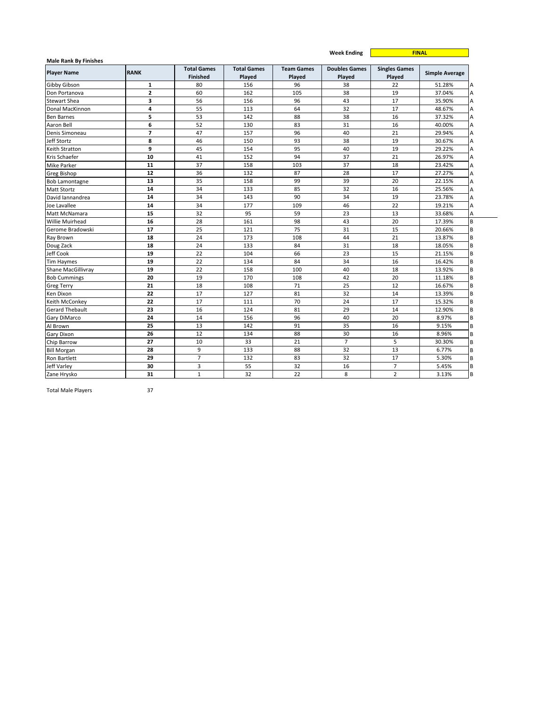|                                                    |                |                                       |                              |                             | <b>Week Ending</b>             | <b>FINAL</b>                   |                       |  |
|----------------------------------------------------|----------------|---------------------------------------|------------------------------|-----------------------------|--------------------------------|--------------------------------|-----------------------|--|
| <b>Male Rank By Finishes</b><br><b>Player Name</b> | <b>RANK</b>    | <b>Total Games</b><br><b>Finished</b> | <b>Total Games</b><br>Played | <b>Team Games</b><br>Played | <b>Doubles Games</b><br>Played | <b>Singles Games</b><br>Played | <b>Simple Average</b> |  |
| <b>Gibby Gibson</b>                                | $\mathbf{1}$   | 80                                    | 156                          | 96                          | 38                             | 22                             | 51.28%                |  |
| Don Portanova                                      | $\overline{2}$ | 60                                    | 162                          | 105                         | 38                             | 19                             | 37.04%                |  |
| <b>Stewart Shea</b>                                | з              | 56                                    | 156                          | 96                          | 43                             | 17                             | 35.90%                |  |
| Donal MacKinnon                                    | 4              | 55                                    | 113                          | 64                          | 32                             | 17                             | 48.67%                |  |
| <b>Ben Barnes</b>                                  | 5              | 53                                    | 142                          | 88                          | 38                             | 16                             | 37.32%                |  |
| Aaron Bell                                         | 6              | 52                                    | 130                          | 83                          | 31                             | 16                             | 40.00%                |  |
| Denis Simoneau                                     | $\overline{7}$ | 47                                    | 157                          | 96                          | 40                             | 21                             | 29.94%                |  |
| Jeff Stortz                                        | 8              | 46                                    | 150                          | 93                          | 38                             | 19                             | 30.67%                |  |
| Keith Stratton                                     | 9              | 45                                    | 154                          | 95                          | 40                             | 19                             | 29.22%                |  |
| Kris Schaefer                                      | 10             | 41                                    | 152                          | 94                          | 37                             | 21                             | 26.97%                |  |
| <b>Mike Parker</b>                                 | 11             | 37                                    | 158                          | 103                         | 37                             | 18                             | 23.42%                |  |
| <b>Greg Bishop</b>                                 | 12             | 36                                    | 132                          | 87                          | 28                             | 17                             | 27.27%                |  |
| <b>Bob Lamontagne</b>                              | 13             | 35                                    | 158                          | 99                          | 39                             | 20                             | 22.15%                |  |
| <b>Matt Stortz</b>                                 | 14             | 34                                    | 133                          | 85                          | 32                             | 16                             | 25.56%                |  |
| David Iannandrea                                   | 14             | 34                                    | 143                          | 90                          | 34                             | 19                             | 23.78%                |  |
| Joe Lavallee                                       | 14             | 34                                    | 177                          | 109                         | 46                             | 22                             | 19.21%                |  |
| Matt McNamara                                      | 15             | 32                                    | 95                           | 59                          | 23                             | 13                             | 33.68%                |  |
| <b>Willie Muirhead</b>                             | 16             | 28                                    | 161                          | 98                          | 43                             | 20                             | 17.39%                |  |
| Gerome Bradowski                                   | 17             | 25                                    | 121                          | 75                          | 31                             | 15                             | 20.66%                |  |
| Ray Brown                                          | 18             | 24                                    | 173                          | 108                         | 44                             | 21                             | 13.87%                |  |
| Doug Zack                                          | 18             | 24                                    | 133                          | 84                          | 31                             | 18                             | 18.05%                |  |
| Jeff Cook                                          | 19             | 22                                    | 104                          | 66                          | 23                             | 15                             | 21.15%                |  |
| <b>Tim Haymes</b>                                  | 19             | 22                                    | 134                          | 84                          | 34                             | 16                             | 16.42%                |  |
| Shane MacGillivray                                 | 19             | 22                                    | 158                          | 100                         | 40                             | 18                             | 13.92%                |  |
| <b>Bob Cummings</b>                                | 20             | 19                                    | 170                          | 108                         | 42                             | 20                             | 11.18%                |  |
| <b>Greg Terry</b>                                  | 21             | 18                                    | 108                          | 71                          | 25                             | 12                             | 16.67%                |  |
| Ken Dixon                                          | 22             | 17                                    | 127                          | 81                          | 32                             | 14                             | 13.39%                |  |
| Keith McConkey                                     | 22             | 17                                    | 111                          | 70                          | 24                             | 17                             | 15.32%                |  |
| <b>Gerard Thebault</b>                             | 23             | 16                                    | 124                          | 81                          | 29                             | 14                             | 12.90%                |  |
| Gary DiMarco                                       | 24             | 14                                    | 156                          | 96                          | 40                             | 20                             | 8.97%                 |  |
| Al Brown                                           | 25             | 13                                    | 142                          | 91                          | 35                             | 16                             | 9.15%                 |  |
| Gary Dixon                                         | 26             | 12                                    | 134                          | 88                          | 30                             | 16                             | 8.96%                 |  |
| Chip Barrow                                        | 27             | 10                                    | 33                           | 21                          | $\overline{7}$                 | 5                              | 30.30%                |  |
| <b>Bill Morgan</b>                                 | 28             | 9                                     | 133                          | 88                          | 32                             | 13                             | 6.77%                 |  |
| Ron Bartlett                                       | 29             | $\overline{7}$                        | 132                          | 83                          | 32                             | 17                             | 5.30%                 |  |
| Jeff Varley                                        | 30             | 3                                     | 55                           | 32                          | 16                             | $\overline{7}$                 | 5.45%                 |  |
| Zane Hrysko                                        | 31             | $\mathbf{1}$                          | 32                           | 22                          | 8                              | $\overline{2}$                 | 3.13%                 |  |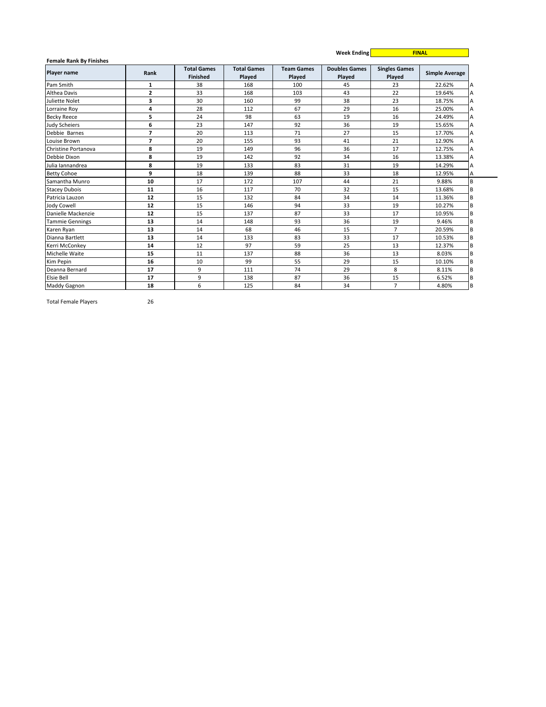|                                                      |                |                                |                              |                             | <b>Week Ending</b>             |                                | <b>FINAL</b>          |
|------------------------------------------------------|----------------|--------------------------------|------------------------------|-----------------------------|--------------------------------|--------------------------------|-----------------------|
| <b>Female Rank By Finishes</b><br><b>Player name</b> | Rank           | <b>Total Games</b><br>Finished | <b>Total Games</b><br>Played | <b>Team Games</b><br>Played | <b>Doubles Games</b><br>Played | <b>Singles Games</b><br>Played | <b>Simple Average</b> |
| Pam Smith                                            | 1              | 38                             | 168                          | 100                         | 45                             | 23                             | 22.62%                |
| <b>Althea Davis</b>                                  | $\overline{2}$ | 33                             | 168                          | 103                         | 43                             | 22                             | 19.64%                |
| Juliette Nolet                                       | 3              | 30                             | 160                          | 99                          | 38                             | 23                             | 18.75%                |
| Lorraine Roy                                         | 4              | 28                             | 112                          | 67                          | 29                             | 16                             | 25.00%                |
| <b>Becky Reece</b>                                   | 5              | 24                             | 98                           | 63                          | 19                             | 16                             | 24.49%                |
| <b>Judy Scheiers</b>                                 | 6              | 23                             | 147                          | 92                          | 36                             | 19                             | 15.65%                |
| Debbie Barnes                                        | $\overline{7}$ | 20                             | 113                          | 71                          | 27                             | 15                             | 17.70%                |
| Louise Brown                                         | $\overline{7}$ | 20                             | 155                          | 93                          | 41                             | 21                             | 12.90%                |
| Christine Portanova                                  | 8              | 19                             | 149                          | 96                          | 36                             | 17                             | 12.75%                |
| Debbie Dixon                                         | 8              | 19                             | 142                          | 92                          | 34                             | 16                             | 13.38%                |
| Julia Iannandrea                                     | 8              | 19                             | 133                          | 83                          | 31                             | 19                             | 14.29%                |
| <b>Betty Cohoe</b>                                   | 9              | 18                             | 139                          | 88                          | 33                             | 18                             | 12.95%                |
| Samantha Munro                                       | 10             | 17                             | 172                          | 107                         | 44                             | 21                             | 9.88%                 |
| <b>Stacey Dubois</b>                                 | 11             | 16                             | 117                          | 70                          | 32                             | 15                             | 13.68%                |
| Patricia Lauzon                                      | 12             | 15                             | 132                          | 84                          | 34                             | 14                             | 11.36%                |
| Jody Cowell                                          | 12             | 15                             | 146                          | 94                          | 33                             | 19                             | 10.27%                |
| Danielle Mackenzie                                   | 12             | 15                             | 137                          | 87                          | 33                             | 17                             | 10.95%                |
| <b>Tammie Gennings</b>                               | 13             | 14                             | 148                          | 93                          | 36                             | 19                             | 9.46%                 |
| Karen Ryan                                           | 13             | 14                             | 68                           | 46                          | 15                             | $\overline{7}$                 | 20.59%                |
| Dianna Bartlett                                      | 13             | 14                             | 133                          | 83                          | 33                             | 17                             | 10.53%                |
| Kerri McConkey                                       | 14             | 12                             | 97                           | 59                          | 25                             | 13                             | 12.37%                |
| Michelle Waite                                       | 15             | 11                             | 137                          | 88                          | 36                             | 13                             | 8.03%                 |
| Kim Pepin                                            | 16             | 10                             | 99                           | 55                          | 29                             | 15                             | 10.10%                |
| Deanna Bernard                                       | 17             | 9                              | 111                          | 74                          | 29                             | 8                              | 8.11%                 |
| Elsie Bell                                           | 17             | 9                              | 138                          | 87                          | 36                             | 15                             | 6.52%                 |
| <b>Maddy Gagnon</b>                                  | 18             | 6                              | 125                          | 84                          | 34                             | $\overline{7}$                 | 4.80%                 |

Total Female Players 26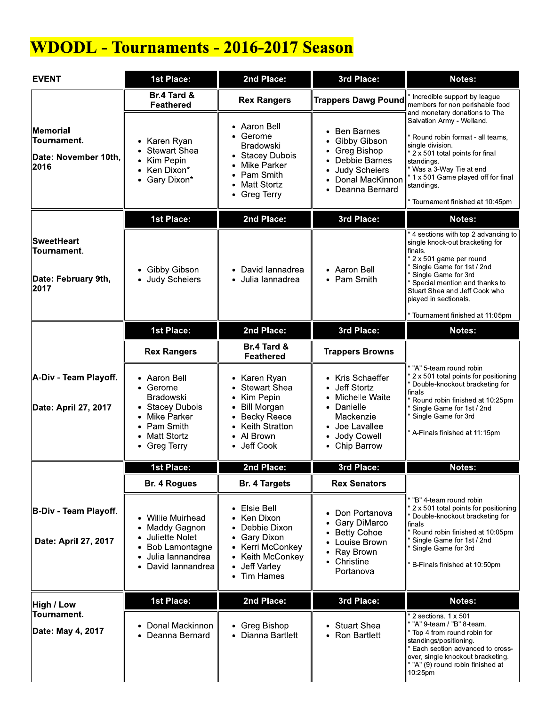# **WDODL - Tournaments - 2016-2017 Season**

| <b>EVENT</b>                                                           | 1st Place:                                                                                                                                       | 2nd Place:                                                                                                                                          | 3rd Place:                                                                                                                                                                       | Notes:                                                                                                                                                                                                                                                                                          |  |
|------------------------------------------------------------------------|--------------------------------------------------------------------------------------------------------------------------------------------------|-----------------------------------------------------------------------------------------------------------------------------------------------------|----------------------------------------------------------------------------------------------------------------------------------------------------------------------------------|-------------------------------------------------------------------------------------------------------------------------------------------------------------------------------------------------------------------------------------------------------------------------------------------------|--|
|                                                                        | Br.4 Tard &<br><b>Feathered</b>                                                                                                                  | <b>Rex Rangers</b>                                                                                                                                  | Trappers Dawg Pound                                                                                                                                                              | * Incredible support by league<br>members for non perishable food                                                                                                                                                                                                                               |  |
| Memorial<br>Tournament.<br>Date: November 10th,<br>2016                | Karen Ryan<br><b>Stewart Shea</b><br>Kim Pepin<br>Ken Dixon*<br>• Gary Dixon*                                                                    | • Aaron Bell<br>• Gerome<br><b>Bradowski</b><br>• Stacey Dubois<br>Mike Parker<br>• Pam Smith<br><b>Matt Stortz</b><br>• Greg Terry                 | <b>Ben Barnes</b><br>$\bullet$<br>Gibby Gibson<br>$\bullet$<br>Greg Bishop<br>٠<br>Debbie Barnes<br>Judy Scheiers<br>$\bullet$<br>Donal MacKinnon<br>Deanna Bernard<br>$\bullet$ | and monetary donations to The<br>Salvation Army - Welland.<br>Round robin format - all teams,<br>single division.<br>* 2 x 501 total points for final<br>standings.<br>* Was a 3-Way Tie at end<br>* 1 x 501 Game played off for final<br>standings.<br>Tournament finished at 10.45pm          |  |
|                                                                        | 1st Place:                                                                                                                                       | 2nd Place:                                                                                                                                          | 3rd Place:                                                                                                                                                                       | Notes:                                                                                                                                                                                                                                                                                          |  |
| <b>SweetHeart</b><br><b>Tournament.</b><br>Date: February 9th,<br>2017 | • Gibby Gibson<br><b>Judy Scheiers</b>                                                                                                           | • David lannadrea<br>Julia lannadrea                                                                                                                | • Aaron Bell<br>• Pam Smith                                                                                                                                                      | * 4 sections with top 2 advancing to<br>single knock-out bracketing for<br>finals.<br>* 2 x 501 game per round<br>Single Game for 1st / 2nd<br>Single Game for 3rd<br>Special mention and thanks to<br>Stuart Shea and Jeff Cook who<br>played in sectionals.<br>Tournament finished at 11:05pm |  |
|                                                                        | 1st Place:                                                                                                                                       | 2nd Place:                                                                                                                                          | 3rd Place:                                                                                                                                                                       | Notes:                                                                                                                                                                                                                                                                                          |  |
|                                                                        | <b>Rex Rangers</b>                                                                                                                               | Br.4 Tard &<br><b>Feathered</b>                                                                                                                     | <b>Trappers Browns</b>                                                                                                                                                           |                                                                                                                                                                                                                                                                                                 |  |
| A-Div - Team Playoff.<br>Date: April 27, 2017                          | • Aaron Bell<br>• Gerome<br><b>Bradowski</b><br><b>Stacey Dubois</b><br>Mike Parker<br>Pam Smith<br>٠<br><b>Matt Stortz</b><br><b>Greg Terry</b> | • Karen Ryan<br>• Stewart Shea<br>Kim Pepin<br><b>Bill Morgan</b><br><b>Becky Reece</b><br>• Keith Stratton<br>• Al Brown<br>Jeff Cook<br>$\bullet$ | • Kris Schaeffer<br>Jeff Stortz<br>$\bullet$<br>• Michelle Waite<br>• Danielle<br>Mackenzie<br>• Joe Lavallee<br>Jody Cowell<br>$\bullet$<br>• Chip Barrow                       | "A" 5-team round robin<br>2 x 501 total points for positioning<br>Double-knockout bracketing for<br>finals<br>Round robin finished at 10:25pm<br>Single Game for 1st / 2nd<br>Single Game for 3rd<br>A-Finals finished at 11:15pm                                                               |  |
|                                                                        | 1st Place:                                                                                                                                       | 2nd Place:                                                                                                                                          | 3rd Place:                                                                                                                                                                       | Notes:                                                                                                                                                                                                                                                                                          |  |
|                                                                        | Br. 4 Rogues                                                                                                                                     | <b>Br. 4 Targets</b>                                                                                                                                | <b>Rex Senators</b>                                                                                                                                                              |                                                                                                                                                                                                                                                                                                 |  |
| <b>B-Div - Team Playoff.</b><br>Date: April 27, 2017                   | Willie Muirhead<br>Maddy Gagnon<br>Juliette Nolet<br>Bob Lamontagne<br>Julia lannandrea<br>David lannandrea                                      | Elsie Bell<br>• Ken Dixon<br>Debbie Dixon<br>• Gary Dixon<br>• Kerri McConkey<br>Keith McConkey<br>Jeff Varley<br>• Tim Hames                       | Don Portanova<br>$\bullet$<br>Gary DiMarco<br>٠<br><b>Betty Cohoe</b><br>• Louise Brown<br>Ray Brown<br>• Christine<br>Portanova                                                 | * "B" 4-team round robin<br>2 x 501 total points for positioning<br>Double-knockout bracketing for<br>finals<br>Round robin finished at 10:05pm<br>Single Game for 1st / 2nd<br>Single Game for 3rd<br>B-Finals finished at 10:50pm                                                             |  |
| High / Low                                                             | 1st Place:                                                                                                                                       | 2nd Place:                                                                                                                                          | 3rd Place:                                                                                                                                                                       | Notes:                                                                                                                                                                                                                                                                                          |  |
| Tournament.<br>Date: May 4, 2017                                       | Donal Mackinnon<br>Deanna Bernard                                                                                                                | • Greg Bishop<br>• Dianna Bartlett                                                                                                                  | • Stuart Shea<br>• Ron Bartlett                                                                                                                                                  | $2$ sections. 1 x 501<br>"A" 9-team / "B" 8-team.<br>Top 4 from round robin for<br>standings/positioning.<br>Each section advanced to cross-<br>over, single knockout bracketing.<br>* "A" (9) round robin finished at<br>10:25pm                                                               |  |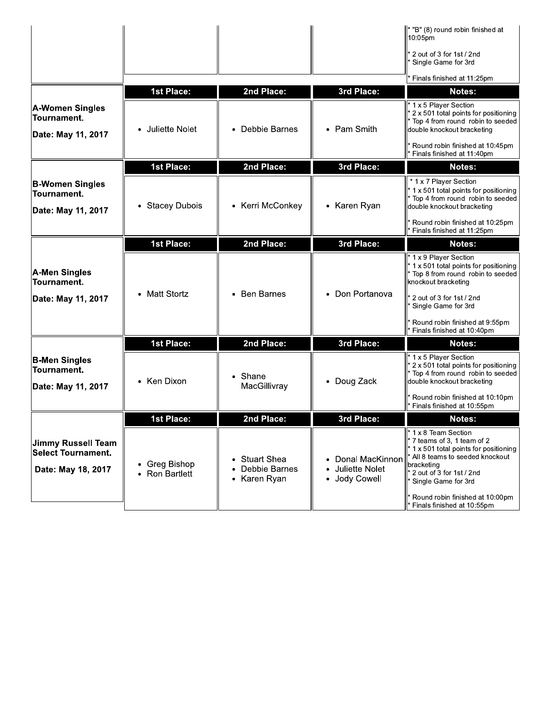|                                                                |                                    |                                                |                                                      | ll* "B" (8) round robin finished at<br>10:05pm                                                                                                                                                                                                 |
|----------------------------------------------------------------|------------------------------------|------------------------------------------------|------------------------------------------------------|------------------------------------------------------------------------------------------------------------------------------------------------------------------------------------------------------------------------------------------------|
|                                                                |                                    |                                                |                                                      | * 2 out of 3 for 1st / 2nd<br>Single Game for 3rd                                                                                                                                                                                              |
|                                                                |                                    |                                                |                                                      | Finals finished at 11:25pm                                                                                                                                                                                                                     |
|                                                                | <b>1st Place:</b>                  | 2nd Place:                                     | 3rd Place:                                           | Notes:                                                                                                                                                                                                                                         |
| <b>A-Women Singles</b><br>Tournament.<br>Date: May 11, 2017    | • Juliette Nolet                   | • Debbie Barnes                                | • Pam Smith                                          | $\parallel$ * 1 x 5 Player Section<br>* 2 x 501 total points for positioning<br>* Top 4 from round robin to seeded<br>double knockout bracketing<br>Round robin finished at 10:45pm                                                            |
|                                                                |                                    |                                                |                                                      | Finals finished at 11:40pm                                                                                                                                                                                                                     |
|                                                                | <b>1st Place:</b>                  | 2nd Place:                                     | 3rd Place:                                           | Notes:                                                                                                                                                                                                                                         |
| <b>B-Women Singles</b><br>Tournament.<br>Date: May 11, 2017    | <b>Stacey Dubois</b>               | • Kerri McConkey                               | • Karen Ryan                                         | * 1 x 7 Player Section<br>$*$ 1 x 501 total points for positioning<br>* Top 4 from round robin to seeded<br>double knockout bracketing                                                                                                         |
|                                                                |                                    |                                                |                                                      | Round robin finished at 10:25pm<br>Finals finished at 11:25pm                                                                                                                                                                                  |
|                                                                | <b>1st Place:</b>                  | 2nd Place:                                     | 3rd Place:                                           | <b>Notes:</b>                                                                                                                                                                                                                                  |
| A-Men Singles<br>Tournament.                                   | <b>Matt Stortz</b>                 | • Ben Barnes                                   | Don Portanova<br>$\bullet$                           | <sup>1</sup> 1 x 9 Player Section<br>$*$ 1 x 501 total points for positioning<br>* Top 8 from round robin to seeded<br>knockout bracketing<br>* 2 out of 3 for 1st / 2nd                                                                       |
| Date: May 11, 2017                                             |                                    |                                                |                                                      | Single Game for 3rd<br>Round robin finished at 9:55pm<br>Finals finished at 10:40pm                                                                                                                                                            |
|                                                                | <b>1st Place:</b>                  | 2nd Place:                                     | 3rd Place:                                           | <b>Notes:</b>                                                                                                                                                                                                                                  |
| <b>B-Men Singles</b><br>Tournament.<br>Date: May 11, 2017      | • Ken Dixon                        | • Shane<br>MacGillivray                        | Doug Zack                                            | $\parallel$ * 1 x 5 Player Section<br>* 2 x 501 total points for positioning<br>* Top 4 from round robin to seeded<br>double knockout bracketing                                                                                               |
|                                                                |                                    |                                                |                                                      | Round robin finished at 10:10pm<br>Finals finished at 10:55pm                                                                                                                                                                                  |
|                                                                | <b>1st Place:</b>                  | 2nd Place:                                     | 3rd Place:                                           | Notes:                                                                                                                                                                                                                                         |
| Jimmy Russell Team<br>Select Tournament.<br>Date: May 18, 2017 | Greg Bishop<br><b>Ron Bartlett</b> | • Stuart Shea<br>Debbie Barnes<br>• Karen Ryan | • Donal MacKinnon<br>Juliette Nolet<br>• Jody Cowell | <sup>1</sup> 1 x 8 Team Section<br>7 teams of 3, 1 team of 2<br>$*$ 1 x 501 total points for positioning<br>All 8 teams to seeded knockout<br>bracketing<br>2 out of 3 for 1st / 2nd<br>Single Game for 3rd<br>Round robin finished at 10:00pm |
|                                                                |                                    |                                                |                                                      | Finals finished at 10:55pm                                                                                                                                                                                                                     |